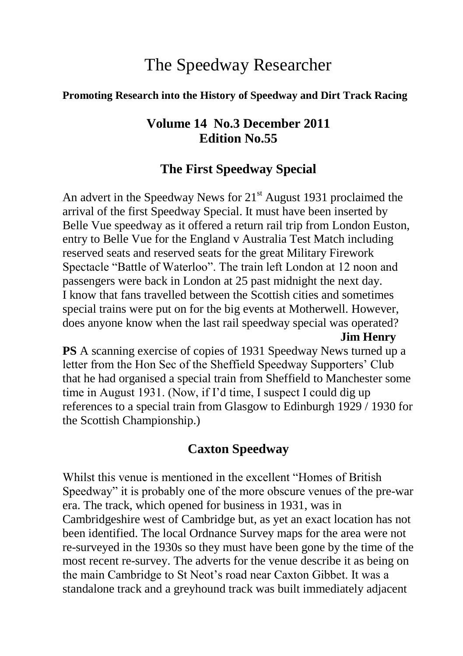# The Speedway Researcher

#### **Promoting Research into the History of Speedway and Dirt Track Racing**

### **Volume 14 No.3 December 2011 Edition No.55**

### **The First Speedway Special**

An advert in the Speedway News for  $21<sup>st</sup>$  August 1931 proclaimed the arrival of the first Speedway Special. It must have been inserted by Belle Vue speedway as it offered a return rail trip from London Euston, entry to Belle Vue for the England v Australia Test Match including reserved seats and reserved seats for the great Military Firework Spectacle "Battle of Waterloo". The train left London at 12 noon and passengers were back in London at 25 past midnight the next day. I know that fans travelled between the Scottish cities and sometimes special trains were put on for the big events at Motherwell. However, does anyone know when the last rail speedway special was operated? **Jim Henry**

**PS** A scanning exercise of copies of 1931 Speedway News turned up a letter from the Hon Sec of the Sheffield Speedway Supporters' Club that he had organised a special train from Sheffield to Manchester some time in August 1931. (Now, if I'd time, I suspect I could dig up references to a special train from Glasgow to Edinburgh 1929 / 1930 for the Scottish Championship.)

## **Caxton Speedway**

Whilst this venue is mentioned in the excellent "Homes of British Speedway" it is probably one of the more obscure venues of the pre-war era. The track, which opened for business in 1931, was in Cambridgeshire west of Cambridge but, as yet an exact location has not been identified. The local Ordnance Survey maps for the area were not re-surveyed in the 1930s so they must have been gone by the time of the most recent re-survey. The adverts for the venue describe it as being on the main Cambridge to St Neot's road near Caxton Gibbet. It was a standalone track and a greyhound track was built immediately adjacent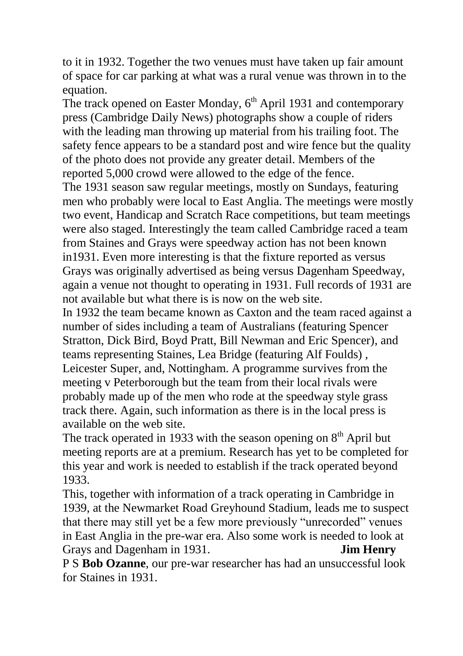to it in 1932. Together the two venues must have taken up fair amount of space for car parking at what was a rural venue was thrown in to the equation.

The track opened on Easter Monday,  $6<sup>th</sup>$  April 1931 and contemporary press (Cambridge Daily News) photographs show a couple of riders with the leading man throwing up material from his trailing foot. The safety fence appears to be a standard post and wire fence but the quality of the photo does not provide any greater detail. Members of the reported 5,000 crowd were allowed to the edge of the fence.

The 1931 season saw regular meetings, mostly on Sundays, featuring men who probably were local to East Anglia. The meetings were mostly two event, Handicap and Scratch Race competitions, but team meetings were also staged. Interestingly the team called Cambridge raced a team from Staines and Grays were speedway action has not been known in1931. Even more interesting is that the fixture reported as versus Grays was originally advertised as being versus Dagenham Speedway, again a venue not thought to operating in 1931. Full records of 1931 are not available but what there is is now on the web site.

In 1932 the team became known as Caxton and the team raced against a number of sides including a team of Australians (featuring Spencer Stratton, Dick Bird, Boyd Pratt, Bill Newman and Eric Spencer), and teams representing Staines, Lea Bridge (featuring Alf Foulds) , Leicester Super, and, Nottingham. A programme survives from the meeting v Peterborough but the team from their local rivals were probably made up of the men who rode at the speedway style grass track there. Again, such information as there is in the local press is available on the web site.

The track operated in 1933 with the season opening on  $8<sup>th</sup>$  April but meeting reports are at a premium. Research has yet to be completed for this year and work is needed to establish if the track operated beyond 1933.

This, together with information of a track operating in Cambridge in 1939, at the Newmarket Road Greyhound Stadium, leads me to suspect that there may still yet be a few more previously "unrecorded" venues in East Anglia in the pre-war era. Also some work is needed to look at Grays and Dagenham in 1931. **Jim Henry**

P S **Bob Ozanne**, our pre-war researcher has had an unsuccessful look for Staines in 1931.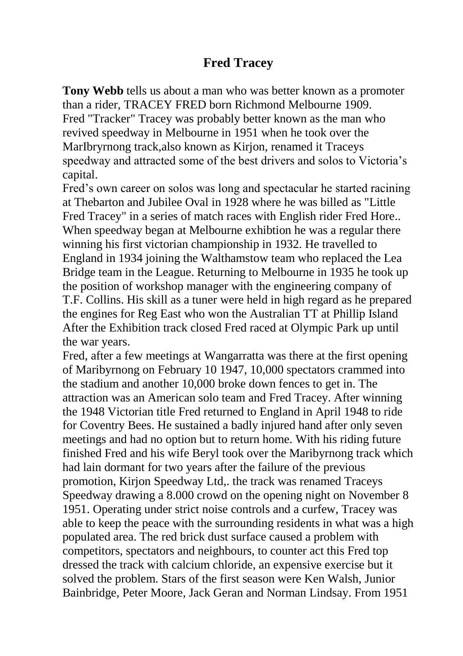### **Fred Tracey**

**Tony Webb** tells us about a man who was better known as a promoter than a rider, TRACEY FRED born Richmond Melbourne 1909. Fred "Tracker" Tracey was probably better known as the man who revived speedway in Melbourne in 1951 when he took over the MarIbryrnong track,also known as Kirjon, renamed it Traceys speedway and attracted some of the best drivers and solos to Victoria's capital.

Fred's own career on solos was long and spectacular he started racining at Thebarton and Jubilee Oval in 1928 where he was billed as "Little Fred Tracey" in a series of match races with English rider Fred Hore.. When speedway began at Melbourne exhibtion he was a regular there winning his first victorian championship in 1932. He travelled to England in 1934 joining the Walthamstow team who replaced the Lea Bridge team in the League. Returning to Melbourne in 1935 he took up the position of workshop manager with the engineering company of T.F. Collins. His skill as a tuner were held in high regard as he prepared the engines for Reg East who won the Australian TT at Phillip Island After the Exhibition track closed Fred raced at Olympic Park up until the war years.

Fred, after a few meetings at Wangarratta was there at the first opening of Maribyrnong on February 10 1947, 10,000 spectators crammed into the stadium and another 10,000 broke down fences to get in. The attraction was an American solo team and Fred Tracey. After winning the 1948 Victorian title Fred returned to England in April 1948 to ride for Coventry Bees. He sustained a badly injured hand after only seven meetings and had no option but to return home. With his riding future finished Fred and his wife Beryl took over the Maribyrnong track which had lain dormant for two years after the failure of the previous promotion, Kirjon Speedway Ltd,. the track was renamed Traceys Speedway drawing a 8.000 crowd on the opening night on November 8 1951. Operating under strict noise controls and a curfew, Tracey was able to keep the peace with the surrounding residents in what was a high populated area. The red brick dust surface caused a problem with competitors, spectators and neighbours, to counter act this Fred top dressed the track with calcium chloride, an expensive exercise but it solved the problem. Stars of the first season were Ken Walsh, Junior Bainbridge, Peter Moore, Jack Geran and Norman Lindsay. From 1951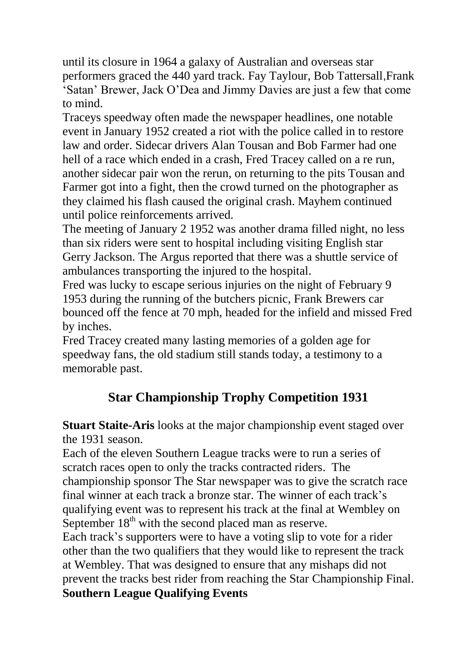until its closure in 1964 a galaxy of Australian and overseas star performers graced the 440 yard track. Fay Taylour, Bob Tattersall,Frank 'Satan' Brewer, Jack O'Dea and Jimmy Davies are just a few that come to mind.

Traceys speedway often made the newspaper headlines, one notable event in January 1952 created a riot with the police called in to restore law and order. Sidecar drivers Alan Tousan and Bob Farmer had one hell of a race which ended in a crash, Fred Tracey called on a re run, another sidecar pair won the rerun, on returning to the pits Tousan and Farmer got into a fight, then the crowd turned on the photographer as they claimed his flash caused the original crash. Mayhem continued until police reinforcements arrived.

The meeting of January 2 1952 was another drama filled night, no less than six riders were sent to hospital including visiting English star Gerry Jackson. The Argus reported that there was a shuttle service of ambulances transporting the injured to the hospital.

Fred was lucky to escape serious injuries on the night of February 9 1953 during the running of the butchers picnic, Frank Brewers car bounced off the fence at 70 mph, headed for the infield and missed Fred by inches.

Fred Tracey created many lasting memories of a golden age for speedway fans, the old stadium still stands today, a testimony to a memorable past.

# **Star Championship Trophy Competition 1931**

**Stuart Staite-Aris** looks at the major championship event staged over the 1931 season.

Each of the eleven Southern League tracks were to run a series of scratch races open to only the tracks contracted riders. The championship sponsor The Star newspaper was to give the scratch race final winner at each track a bronze star. The winner of each track's qualifying event was to represent his track at the final at Wembley on September  $18<sup>th</sup>$  with the second placed man as reserve.

Each track's supporters were to have a voting slip to vote for a rider other than the two qualifiers that they would like to represent the track at Wembley. That was designed to ensure that any mishaps did not prevent the tracks best rider from reaching the Star Championship Final. **Southern League Qualifying Events**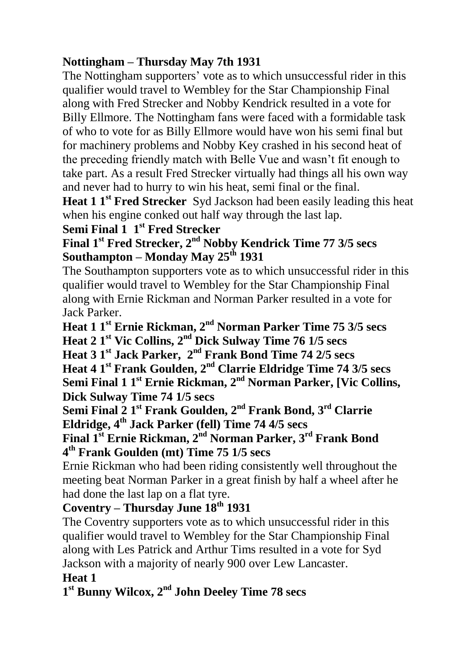### **Nottingham – Thursday May 7th 1931**

The Nottingham supporters' vote as to which unsuccessful rider in this qualifier would travel to Wembley for the Star Championship Final along with Fred Strecker and Nobby Kendrick resulted in a vote for Billy Ellmore. The Nottingham fans were faced with a formidable task of who to vote for as Billy Ellmore would have won his semi final but for machinery problems and Nobby Key crashed in his second heat of the preceding friendly match with Belle Vue and wasn't fit enough to take part. As a result Fred Strecker virtually had things all his own way and never had to hurry to win his heat, semi final or the final.

**Heat 1 <sup>1<sup>st</sup> Fred Strecker** Syd Jackson had been easily leading this heat</sup> when his engine conked out half way through the last lap.

### **Semi Final 1 1st Fred Strecker**

**Final 1st Fred Strecker, 2nd Nobby Kendrick Time 77 3/5 secs Southampton – Monday May 25th 1931**

The Southampton supporters vote as to which unsuccessful rider in this qualifier would travel to Wembley for the Star Championship Final along with Ernie Rickman and Norman Parker resulted in a vote for Jack Parker.

**Heat 1 1st Ernie Rickman, 2nd Norman Parker Time 75 3/5 secs**

**Heat 2 1st Vic Collins, 2nd Dick Sulway Time 76 1/5 secs**

**Heat 3 1st Jack Parker, 2nd Frank Bond Time 74 2/5 secs**

**Heat 4 1st Frank Goulden, 2nd Clarrie Eldridge Time 74 3/5 secs Semi Final 1 1st Ernie Rickman, 2nd Norman Parker, [Vic Collins, Dick Sulway Time 74 1/5 secs**

**Semi Final 2 1st Frank Goulden, 2nd Frank Bond, 3rd Clarrie Eldridge, 4th Jack Parker (fell) Time 74 4/5 secs**

**Final 1st Ernie Rickman, 2nd Norman Parker, 3rd Frank Bond 4 th Frank Goulden (mt) Time 75 1/5 secs**

Ernie Rickman who had been riding consistently well throughout the meeting beat Norman Parker in a great finish by half a wheel after he had done the last lap on a flat tyre.

### **Coventry – Thursday June 18th 1931**

The Coventry supporters vote as to which unsuccessful rider in this qualifier would travel to Wembley for the Star Championship Final along with Les Patrick and Arthur Tims resulted in a vote for Syd Jackson with a majority of nearly 900 over Lew Lancaster. **Heat 1**

### **1 st Bunny Wilcox, 2nd John Deeley Time 78 secs**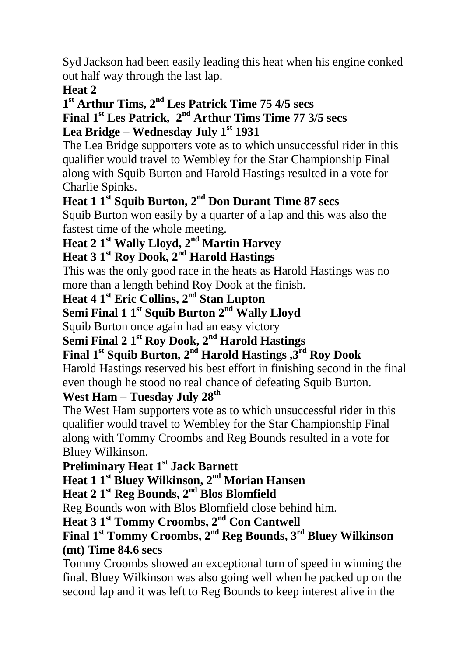Syd Jackson had been easily leading this heat when his engine conked out half way through the last lap.

### **Heat 2**

#### **1 st Arthur Tims, 2nd Les Patrick Time 75 4/5 secs Final 1st Les Patrick, 2nd Arthur Tims Time 77 3/5 secs Lea Bridge – Wednesday July 1st 1931**

The Lea Bridge supporters vote as to which unsuccessful rider in this qualifier would travel to Wembley for the Star Championship Final along with Squib Burton and Harold Hastings resulted in a vote for Charlie Spinks.

# **Heat 1 1st Squib Burton, 2nd Don Durant Time 87 secs**

Squib Burton won easily by a quarter of a lap and this was also the fastest time of the whole meeting.

## **Heat 2 1st Wally Lloyd, 2nd Martin Harvey**

## **Heat 3 1st Roy Dook, 2nd Harold Hastings**

This was the only good race in the heats as Harold Hastings was no more than a length behind Roy Dook at the finish.

# **Heat 4 1st Eric Collins, 2nd Stan Lupton**

# **Semi Final 1 1st Squib Burton 2nd Wally Lloyd**

Squib Burton once again had an easy victory

# **Semi Final 2 1st Roy Dook, 2nd Harold Hastings**

## **Final 1st Squib Burton, 2nd Harold Hastings ,3rd Roy Dook**

Harold Hastings reserved his best effort in finishing second in the final even though he stood no real chance of defeating Squib Burton.

### **West Ham – Tuesday July 28th**

The West Ham supporters vote as to which unsuccessful rider in this qualifier would travel to Wembley for the Star Championship Final along with Tommy Croombs and Reg Bounds resulted in a vote for Bluey Wilkinson.

### **Preliminary Heat 1 st Jack Barnett**

### **Heat 1 1 st Bluey Wilkinson, 2 nd Morian Hansen**

### **Heat 2 1 st Reg Bounds, 2 nd Blos Blomfield**

Reg Bounds won with Blos Blomfield close behind him.

### **Heat 3 1 st Tommy Croombs, 2 nd Con Cantwell**

#### **Final 1 st Tommy Croombs, 2 nd Reg Bounds, 3 rd Bluey Wilkinson (mt) Time 84.6 secs**

Tommy Croombs showed an exceptional turn of speed in winning the final. Bluey Wilkinson was also going well when he packed up on the second lap and it was left to Reg Bounds to keep interest alive in the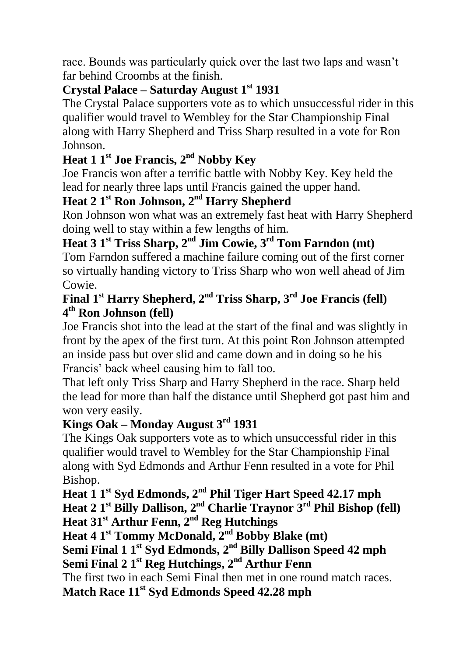race. Bounds was particularly quick over the last two laps and wasn't far behind Croombs at the finish.

### **Crystal Palace – Saturday August 1st 1931**

The Crystal Palace supporters vote as to which unsuccessful rider in this qualifier would travel to Wembley for the Star Championship Final along with Harry Shepherd and Triss Sharp resulted in a vote for Ron Johnson.

### **Heat 1 1 st Joe Francis, 2 nd Nobby Key**

Joe Francis won after a terrific battle with Nobby Key. Key held the lead for nearly three laps until Francis gained the upper hand.

### **Heat 2 1 st Ron Johnson, 2 nd Harry Shepherd**

Ron Johnson won what was an extremely fast heat with Harry Shepherd doing well to stay within a few lengths of him.

### **Heat 3 1 st Triss Sharp, 2 nd Jim Cowie, 3 rd Tom Farndon (mt)**

Tom Farndon suffered a machine failure coming out of the first corner so virtually handing victory to Triss Sharp who won well ahead of Jim Cowie.

### **Final 1 st Harry Shepherd, 2 nd Triss Sharp, 3 rd Joe Francis (fell) 4 th Ron Johnson (fell)**

Joe Francis shot into the lead at the start of the final and was slightly in front by the apex of the first turn. At this point Ron Johnson attempted an inside pass but over slid and came down and in doing so he his Francis' back wheel causing him to fall too.

That left only Triss Sharp and Harry Shepherd in the race. Sharp held the lead for more than half the distance until Shepherd got past him and won very easily.

#### **Kings Oak – Monday August 3rd 1931**

The Kings Oak supporters vote as to which unsuccessful rider in this qualifier would travel to Wembley for the Star Championship Final along with Syd Edmonds and Arthur Fenn resulted in a vote for Phil Bishop.

**Heat 1 1 st Syd Edmonds, 2 nd Phil Tiger Hart Speed 42.17 mph** Heat 2 1<sup>st</sup> Billy Dallison, 2<sup>nd</sup> Charlie Traynor 3<sup>rd</sup> Phil Bishop (fell)

**Heat 31st Arthur Fenn, 2 nd Reg Hutchings**

**Heat 4 1 st Tommy McDonald, 2 nd Bobby Blake (mt)**

**Semi Final 1 1 st Syd Edmonds, 2 nd Billy Dallison Speed 42 mph Semi Final 2 1 st Reg Hutchings, 2 nd Arthur Fenn**

The first two in each Semi Final then met in one round match races.

**Match Race 11 st Syd Edmonds Speed 42.28 mph**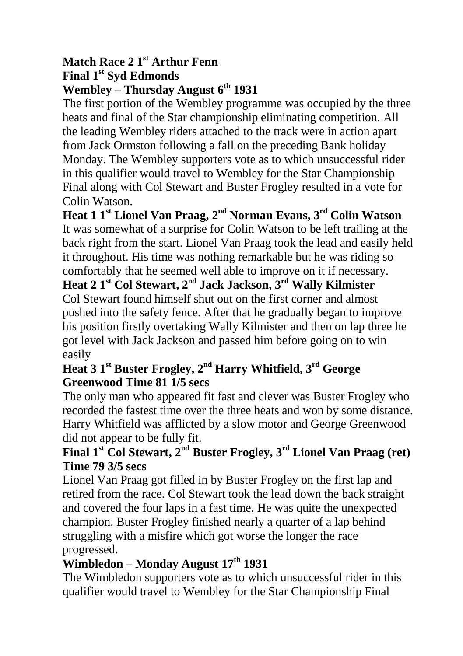#### **Match Race 2 1 st Arthur Fenn Final 1 st Syd Edmonds Wembley – Thursday August 6th 1931**

The first portion of the Wembley programme was occupied by the three heats and final of the Star championship eliminating competition. All the leading Wembley riders attached to the track were in action apart from Jack Ormston following a fall on the preceding Bank holiday Monday. The Wembley supporters vote as to which unsuccessful rider in this qualifier would travel to Wembley for the Star Championship Final along with Col Stewart and Buster Frogley resulted in a vote for Colin Watson.

**Heat 1 1 st Lionel Van Praag, 2 nd Norman Evans, 3 rd Colin Watson** It was somewhat of a surprise for Colin Watson to be left trailing at the back right from the start. Lionel Van Praag took the lead and easily held it throughout. His time was nothing remarkable but he was riding so comfortably that he seemed well able to improve on it if necessary.

**Heat 2 1 st Col Stewart, 2 nd Jack Jackson, 3 rd Wally Kilmister** Col Stewart found himself shut out on the first corner and almost pushed into the safety fence. After that he gradually began to improve his position firstly overtaking Wally Kilmister and then on lap three he got level with Jack Jackson and passed him before going on to win easily

### **Heat 3 1 st Buster Frogley, 2 nd Harry Whitfield, 3 rd George Greenwood Time 81 1/5 secs**

The only man who appeared fit fast and clever was Buster Frogley who recorded the fastest time over the three heats and won by some distance. Harry Whitfield was afflicted by a slow motor and George Greenwood did not appear to be fully fit.

### **Final 1 st Col Stewart, 2 nd Buster Frogley, 3 rd Lionel Van Praag (ret) Time 79 3/5 secs**

Lionel Van Praag got filled in by Buster Frogley on the first lap and retired from the race. Col Stewart took the lead down the back straight and covered the four laps in a fast time. He was quite the unexpected champion. Buster Frogley finished nearly a quarter of a lap behind struggling with a misfire which got worse the longer the race progressed.

## **Wimbledon – Monday August 17th 1931**

The Wimbledon supporters vote as to which unsuccessful rider in this qualifier would travel to Wembley for the Star Championship Final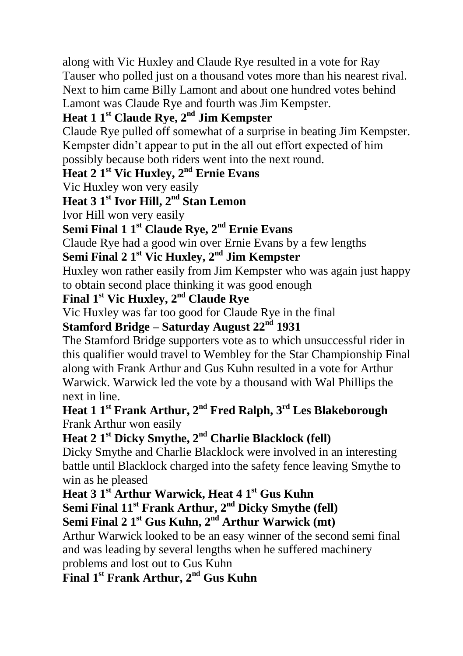along with Vic Huxley and Claude Rye resulted in a vote for Ray Tauser who polled just on a thousand votes more than his nearest rival. Next to him came Billy Lamont and about one hundred votes behind Lamont was Claude Rye and fourth was Jim Kempster.

### **Heat 1 1 st Claude Rye, 2nd Jim Kempster**

Claude Rye pulled off somewhat of a surprise in beating Jim Kempster. Kempster didn't appear to put in the all out effort expected of him possibly because both riders went into the next round.

### **Heat 2 1 st Vic Huxley, 2 nd Ernie Evans**

Vic Huxley won very easily

### **Heat 3 1 st Ivor Hill, 2 nd Stan Lemon**

Ivor Hill won very easily

#### **Semi Final 1 1 st Claude Rye, 2 nd Ernie Evans**

Claude Rye had a good win over Ernie Evans by a few lengths

#### **Semi Final 2 1 st Vic Huxley, 2 nd Jim Kempster**

Huxley won rather easily from Jim Kempster who was again just happy to obtain second place thinking it was good enough

### **Final 1 st Vic Huxley, 2 nd Claude Rye**

Vic Huxley was far too good for Claude Rye in the final

### **Stamford Bridge – Saturday August 22nd 1931**

The Stamford Bridge supporters vote as to which unsuccessful rider in this qualifier would travel to Wembley for the Star Championship Final along with Frank Arthur and Gus Kuhn resulted in a vote for Arthur Warwick. Warwick led the vote by a thousand with Wal Phillips the next in line.

#### **Heat 1 1 st Frank Arthur, 2 nd Fred Ralph, 3 rd Les Blakeborough** Frank Arthur won easily

### **Heat 2 1 st Dicky Smythe, 2 nd Charlie Blacklock (fell)**

Dicky Smythe and Charlie Blacklock were involved in an interesting battle until Blacklock charged into the safety fence leaving Smythe to win as he pleased

### **Heat 3 1 st Arthur Warwick, Heat 4 1 st Gus Kuhn**

**Semi Final 11st Frank Arthur, 2 nd Dicky Smythe (fell)**

## **Semi Final 2 1 st Gus Kuhn, 2 nd Arthur Warwick (mt)**

Arthur Warwick looked to be an easy winner of the second semi final and was leading by several lengths when he suffered machinery problems and lost out to Gus Kuhn

### **Final 1 st Frank Arthur, 2 nd Gus Kuhn**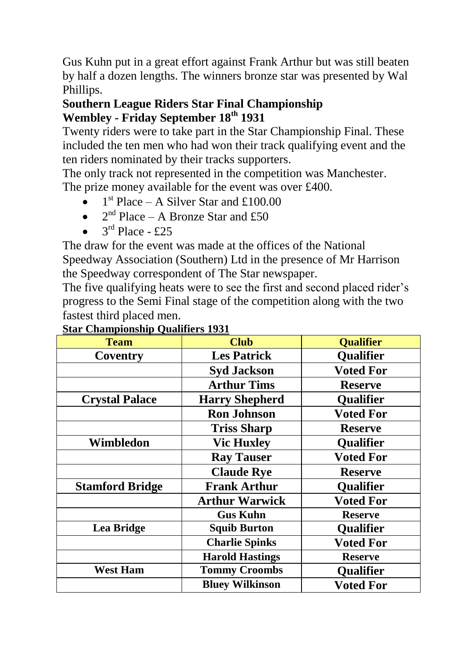Gus Kuhn put in a great effort against Frank Arthur but was still beaten by half a dozen lengths. The winners bronze star was presented by Wal Phillips.

#### **Southern League Riders Star Final Championship Wembley - Friday September 18th 1931**

Twenty riders were to take part in the Star Championship Final. These included the ten men who had won their track qualifying event and the ten riders nominated by their tracks supporters.

The only track not represented in the competition was Manchester. The prize money available for the event was over £400.

- $1<sup>st</sup>$  Place A Silver Star and £100.00
- $2<sup>nd</sup> Place A Bronze Star and £50$
- $3^{\text{rd}}$  Place £25

The draw for the event was made at the offices of the National Speedway Association (Southern) Ltd in the presence of Mr Harrison the Speedway correspondent of The Star newspaper.

The five qualifying heats were to see the first and second placed rider's progress to the Semi Final stage of the competition along with the two fastest third placed men.

| <b>Team</b>            | <b>Club</b>            | <b>Qualifier</b> |
|------------------------|------------------------|------------------|
| Coventry               | <b>Les Patrick</b>     | Qualifier        |
|                        | <b>Syd Jackson</b>     | <b>Voted For</b> |
|                        | <b>Arthur Tims</b>     | <b>Reserve</b>   |
| <b>Crystal Palace</b>  | <b>Harry Shepherd</b>  | <b>Qualifier</b> |
|                        | <b>Ron Johnson</b>     | <b>Voted For</b> |
|                        | <b>Triss Sharp</b>     | <b>Reserve</b>   |
| Wimbledon              | <b>Vic Huxley</b>      | <b>Qualifier</b> |
|                        | <b>Ray Tauser</b>      | <b>Voted For</b> |
|                        | <b>Claude Rye</b>      | <b>Reserve</b>   |
| <b>Stamford Bridge</b> | <b>Frank Arthur</b>    | <b>Qualifier</b> |
|                        | <b>Arthur Warwick</b>  | <b>Voted For</b> |
|                        | <b>Gus Kuhn</b>        | <b>Reserve</b>   |
| Lea Bridge             | <b>Squib Burton</b>    | <b>Qualifier</b> |
|                        | <b>Charlie Spinks</b>  | <b>Voted For</b> |
|                        | <b>Harold Hastings</b> | <b>Reserve</b>   |
| <b>West Ham</b>        | <b>Tommy Croombs</b>   | Qualifier        |
|                        | <b>Bluey Wilkinson</b> | <b>Voted For</b> |
|                        |                        |                  |

#### **Star Championship Qualifiers 1931**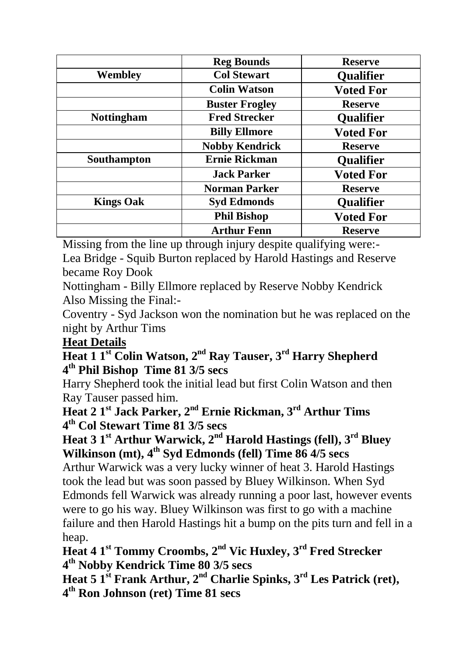|                   | <b>Reg Bounds</b>     | <b>Reserve</b>   |
|-------------------|-----------------------|------------------|
| Wembley           | <b>Col Stewart</b>    | <b>Qualifier</b> |
|                   | <b>Colin Watson</b>   | <b>Voted For</b> |
|                   | <b>Buster Frogley</b> | <b>Reserve</b>   |
| <b>Nottingham</b> | <b>Fred Strecker</b>  | <b>Qualifier</b> |
|                   | <b>Billy Ellmore</b>  | <b>Voted For</b> |
|                   | <b>Nobby Kendrick</b> | <b>Reserve</b>   |
| Southampton       | Ernie Rickman         | <b>Qualifier</b> |
|                   | <b>Jack Parker</b>    | <b>Voted For</b> |
|                   | <b>Norman Parker</b>  | <b>Reserve</b>   |
| <b>Kings Oak</b>  | <b>Syd Edmonds</b>    | <b>Qualifier</b> |
|                   | <b>Phil Bishop</b>    | <b>Voted For</b> |
|                   | <b>Arthur Fenn</b>    | <b>Reserve</b>   |

Missing from the line up through injury despite qualifying were:-

Lea Bridge - Squib Burton replaced by Harold Hastings and Reserve became Roy Dook

Nottingham - Billy Ellmore replaced by Reserve Nobby Kendrick Also Missing the Final:-

Coventry - Syd Jackson won the nomination but he was replaced on the night by Arthur Tims

#### **Heat Details**

**Heat 1 1 st Colin Watson, 2 nd Ray Tauser, 3 rd Harry Shepherd 4 th Phil Bishop Time 81 3/5 secs**

Harry Shepherd took the initial lead but first Colin Watson and then Ray Tauser passed him.

**Heat 2 1 st Jack Parker, 2 nd Ernie Rickman, 3 rd Arthur Tims 4 th Col Stewart Time 81 3/5 secs**

### **Heat 3 1 st Arthur Warwick, 2 nd Harold Hastings (fell), 3 rd Bluey Wilkinson (mt), 4 th Syd Edmonds (fell) Time 86 4/5 secs**

Arthur Warwick was a very lucky winner of heat 3. Harold Hastings took the lead but was soon passed by Bluey Wilkinson. When Syd Edmonds fell Warwick was already running a poor last, however events were to go his way. Bluey Wilkinson was first to go with a machine failure and then Harold Hastings hit a bump on the pits turn and fell in a heap.

**Heat 4 1 st Tommy Croombs, 2 nd Vic Huxley, 3 rd Fred Strecker 4 th Nobby Kendrick Time 80 3/5 secs**

**Heat 5 1 st Frank Arthur, 2 nd Charlie Spinks, 3 rd Les Patrick (ret), 4 th Ron Johnson (ret) Time 81 secs**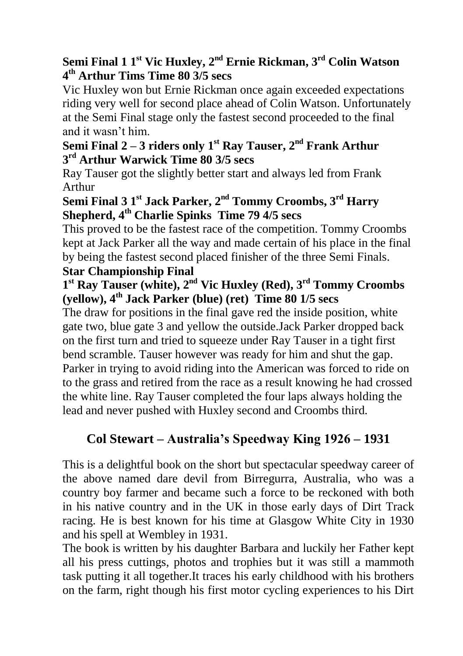### **Semi Final 1 1 st Vic Huxley, 2 nd Ernie Rickman, 3 rd Colin Watson 4 th Arthur Tims Time 80 3/5 secs**

Vic Huxley won but Ernie Rickman once again exceeded expectations riding very well for second place ahead of Colin Watson. Unfortunately at the Semi Final stage only the fastest second proceeded to the final and it wasn't him.

#### **Semi Final 2 – 3 riders only 1 st Ray Tauser, 2 nd Frank Arthur 3 rd Arthur Warwick Time 80 3/5 secs**

Ray Tauser got the slightly better start and always led from Frank Arthur

### **Semi Final 3 1 st Jack Parker, 2 nd Tommy Croombs, 3 rd Harry Shepherd, 4 th Charlie Spinks Time 79 4/5 secs**

This proved to be the fastest race of the competition. Tommy Croombs kept at Jack Parker all the way and made certain of his place in the final by being the fastest second placed finisher of the three Semi Finals. **Star Championship Final**

### **1 st Ray Tauser (white), 2 nd Vic Huxley (Red), 3 rd Tommy Croombs (yellow), 4 th Jack Parker (blue) (ret) Time 80 1/5 secs**

The draw for positions in the final gave red the inside position, white gate two, blue gate 3 and yellow the outside.Jack Parker dropped back on the first turn and tried to squeeze under Ray Tauser in a tight first bend scramble. Tauser however was ready for him and shut the gap. Parker in trying to avoid riding into the American was forced to ride on to the grass and retired from the race as a result knowing he had crossed the white line. Ray Tauser completed the four laps always holding the lead and never pushed with Huxley second and Croombs third.

## **Col Stewart – Australia's Speedway King 1926 – 1931**

This is a delightful book on the short but spectacular speedway career of the above named dare devil from Birregurra, Australia, who was a country boy farmer and became such a force to be reckoned with both in his native country and in the UK in those early days of Dirt Track racing. He is best known for his time at Glasgow White City in 1930 and his spell at Wembley in 1931.

The book is written by his daughter Barbara and luckily her Father kept all his press cuttings, photos and trophies but it was still a mammoth task putting it all together.It traces his early childhood with his brothers on the farm, right though his first motor cycling experiences to his Dirt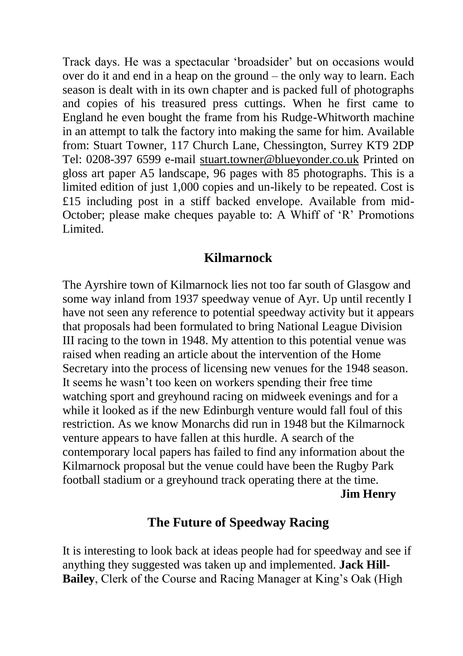Track days. He was a spectacular 'broadsider' but on occasions would over do it and end in a heap on the ground – the only way to learn. Each season is dealt with in its own chapter and is packed full of photographs and copies of his treasured press cuttings. When he first came to England he even bought the frame from his Rudge-Whitworth machine in an attempt to talk the factory into making the same for him. Available from: Stuart Towner, 117 Church Lane, Chessington, Surrey KT9 2DP Tel: 0208-397 6599 e-mail [stuart.towner@blueyonder.co.uk](mailto:stuart.towner@blueyonder.co.uk) Printed on gloss art paper A5 landscape, 96 pages with 85 photographs. This is a limited edition of just 1,000 copies and un-likely to be repeated. Cost is £15 including post in a stiff backed envelope. Available from mid-October; please make cheques payable to: A Whiff of 'R' Promotions Limited.

#### **Kilmarnock**

The Ayrshire town of Kilmarnock lies not too far south of Glasgow and some way inland from 1937 speedway venue of Ayr. Up until recently I have not seen any reference to potential speedway activity but it appears that proposals had been formulated to bring National League Division III racing to the town in 1948. My attention to this potential venue was raised when reading an article about the intervention of the Home Secretary into the process of licensing new venues for the 1948 season. It seems he wasn't too keen on workers spending their free time watching sport and greyhound racing on midweek evenings and for a while it looked as if the new Edinburgh venture would fall foul of this restriction. As we know Monarchs did run in 1948 but the Kilmarnock venture appears to have fallen at this hurdle. A search of the contemporary local papers has failed to find any information about the Kilmarnock proposal but the venue could have been the Rugby Park football stadium or a greyhound track operating there at the time. **Jim Henry**

### **The Future of Speedway Racing**

It is interesting to look back at ideas people had for speedway and see if anything they suggested was taken up and implemented. **Jack Hill-Bailey**, Clerk of the Course and Racing Manager at King's Oak (High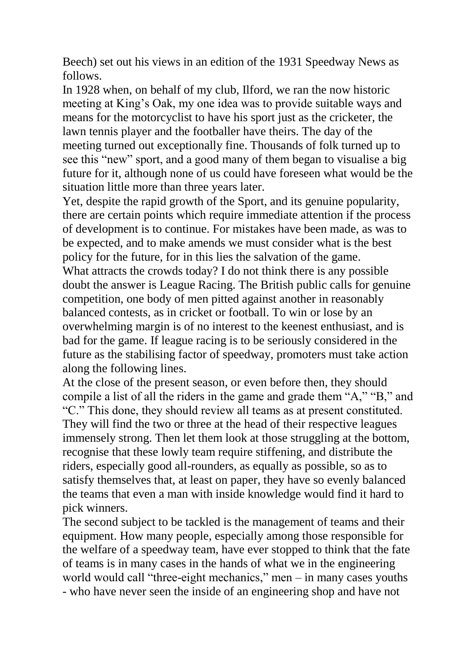Beech) set out his views in an edition of the 1931 Speedway News as follows.

In 1928 when, on behalf of my club, Ilford, we ran the now historic meeting at King's Oak, my one idea was to provide suitable ways and means for the motorcyclist to have his sport just as the cricketer, the lawn tennis player and the footballer have theirs. The day of the meeting turned out exceptionally fine. Thousands of folk turned up to see this "new" sport, and a good many of them began to visualise a big future for it, although none of us could have foreseen what would be the situation little more than three years later.

Yet, despite the rapid growth of the Sport, and its genuine popularity, there are certain points which require immediate attention if the process of development is to continue. For mistakes have been made, as was to be expected, and to make amends we must consider what is the best policy for the future, for in this lies the salvation of the game. What attracts the crowds today? I do not think there is any possible doubt the answer is League Racing. The British public calls for genuine competition, one body of men pitted against another in reasonably balanced contests, as in cricket or football. To win or lose by an overwhelming margin is of no interest to the keenest enthusiast, and is bad for the game. If league racing is to be seriously considered in the future as the stabilising factor of speedway, promoters must take action along the following lines.

At the close of the present season, or even before then, they should compile a list of all the riders in the game and grade them "A," "B," and "C." This done, they should review all teams as at present constituted. They will find the two or three at the head of their respective leagues immensely strong. Then let them look at those struggling at the bottom, recognise that these lowly team require stiffening, and distribute the riders, especially good all-rounders, as equally as possible, so as to satisfy themselves that, at least on paper, they have so evenly balanced the teams that even a man with inside knowledge would find it hard to pick winners.

The second subject to be tackled is the management of teams and their equipment. How many people, especially among those responsible for the welfare of a speedway team, have ever stopped to think that the fate of teams is in many cases in the hands of what we in the engineering world would call "three-eight mechanics," men – in many cases youths - who have never seen the inside of an engineering shop and have not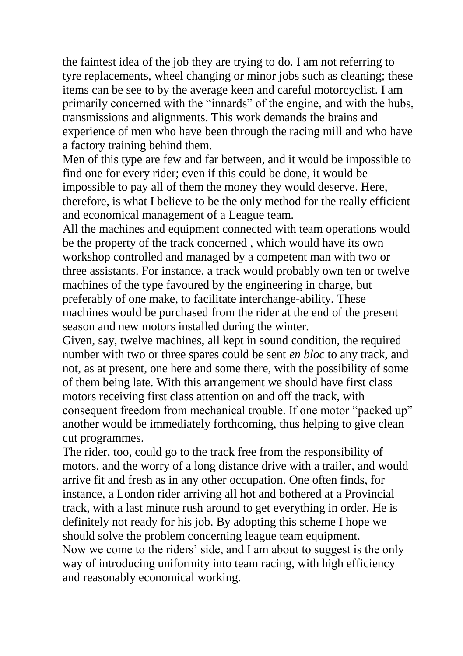the faintest idea of the job they are trying to do. I am not referring to tyre replacements, wheel changing or minor jobs such as cleaning; these items can be see to by the average keen and careful motorcyclist. I am primarily concerned with the "innards" of the engine, and with the hubs, transmissions and alignments. This work demands the brains and experience of men who have been through the racing mill and who have a factory training behind them.

Men of this type are few and far between, and it would be impossible to find one for every rider; even if this could be done, it would be impossible to pay all of them the money they would deserve. Here, therefore, is what I believe to be the only method for the really efficient and economical management of a League team.

All the machines and equipment connected with team operations would be the property of the track concerned , which would have its own workshop controlled and managed by a competent man with two or three assistants. For instance, a track would probably own ten or twelve machines of the type favoured by the engineering in charge, but preferably of one make, to facilitate interchange-ability. These machines would be purchased from the rider at the end of the present season and new motors installed during the winter.

Given, say, twelve machines, all kept in sound condition, the required number with two or three spares could be sent *en bloc* to any track, and not, as at present, one here and some there, with the possibility of some of them being late. With this arrangement we should have first class motors receiving first class attention on and off the track, with consequent freedom from mechanical trouble. If one motor "packed up" another would be immediately forthcoming, thus helping to give clean cut programmes.

The rider, too, could go to the track free from the responsibility of motors, and the worry of a long distance drive with a trailer, and would arrive fit and fresh as in any other occupation. One often finds, for instance, a London rider arriving all hot and bothered at a Provincial track, with a last minute rush around to get everything in order. He is definitely not ready for his job. By adopting this scheme I hope we should solve the problem concerning league team equipment. Now we come to the riders' side, and I am about to suggest is the only way of introducing uniformity into team racing, with high efficiency and reasonably economical working.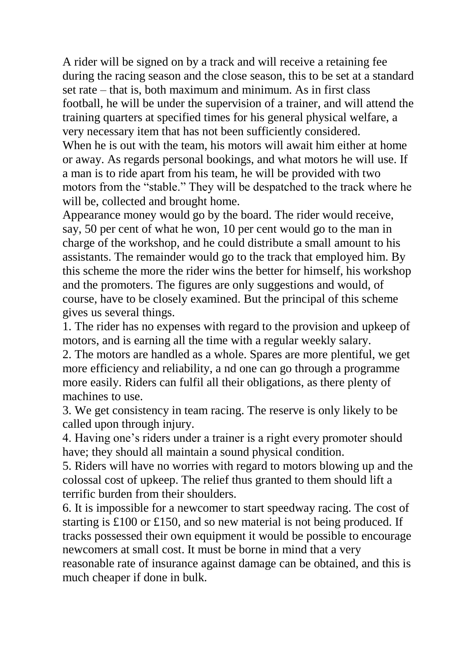A rider will be signed on by a track and will receive a retaining fee during the racing season and the close season, this to be set at a standard set rate – that is, both maximum and minimum. As in first class football, he will be under the supervision of a trainer, and will attend the training quarters at specified times for his general physical welfare, a very necessary item that has not been sufficiently considered. When he is out with the team, his motors will await him either at home or away. As regards personal bookings, and what motors he will use. If a man is to ride apart from his team, he will be provided with two motors from the "stable." They will be despatched to the track where he will be, collected and brought home.

Appearance money would go by the board. The rider would receive, say, 50 per cent of what he won, 10 per cent would go to the man in charge of the workshop, and he could distribute a small amount to his assistants. The remainder would go to the track that employed him. By this scheme the more the rider wins the better for himself, his workshop and the promoters. The figures are only suggestions and would, of course, have to be closely examined. But the principal of this scheme gives us several things.

1. The rider has no expenses with regard to the provision and upkeep of motors, and is earning all the time with a regular weekly salary.

2. The motors are handled as a whole. Spares are more plentiful, we get more efficiency and reliability, a nd one can go through a programme more easily. Riders can fulfil all their obligations, as there plenty of machines to use.

3. We get consistency in team racing. The reserve is only likely to be called upon through injury.

4. Having one's riders under a trainer is a right every promoter should have; they should all maintain a sound physical condition.

5. Riders will have no worries with regard to motors blowing up and the colossal cost of upkeep. The relief thus granted to them should lift a terrific burden from their shoulders.

6. It is impossible for a newcomer to start speedway racing. The cost of starting is £100 or £150, and so new material is not being produced. If tracks possessed their own equipment it would be possible to encourage newcomers at small cost. It must be borne in mind that a very reasonable rate of insurance against damage can be obtained, and this is much cheaper if done in bulk.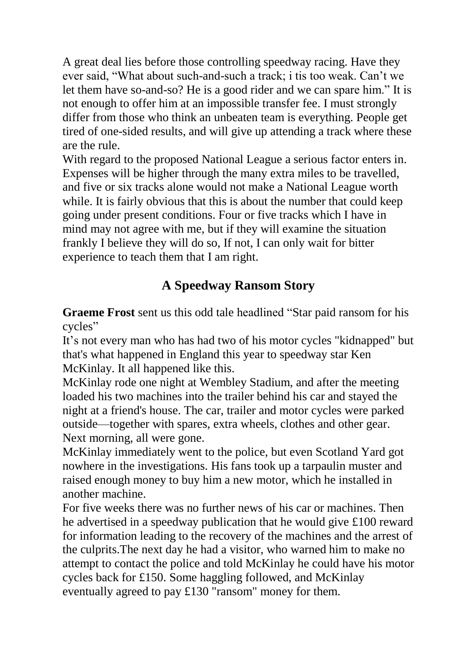A great deal lies before those controlling speedway racing. Have they ever said, "What about such-and-such a track; i tis too weak. Can't we let them have so-and-so? He is a good rider and we can spare him." It is not enough to offer him at an impossible transfer fee. I must strongly differ from those who think an unbeaten team is everything. People get tired of one-sided results, and will give up attending a track where these are the rule.

With regard to the proposed National League a serious factor enters in. Expenses will be higher through the many extra miles to be travelled, and five or six tracks alone would not make a National League worth while. It is fairly obvious that this is about the number that could keep going under present conditions. Four or five tracks which I have in mind may not agree with me, but if they will examine the situation frankly I believe they will do so, If not, I can only wait for bitter experience to teach them that I am right.

# **A Speedway Ransom Story**

**Graeme Frost** sent us this odd tale headlined "Star paid ransom for his cycles"

It's not every man who has had two of his motor cycles "kidnapped" but that's what happened in England this year to speedway star Ken McKinlay. It all happened like this.

McKinlay rode one night at Wembley Stadium, and after the meeting loaded his two machines into the trailer behind his car and stayed the night at a friend's house. The car, trailer and motor cycles were parked outside—together with spares, extra wheels, clothes and other gear. Next morning, all were gone.

McKinlay immediately went to the police, but even Scotland Yard got nowhere in the investigations. His fans took up a tarpaulin muster and raised enough money to buy him a new motor, which he installed in another machine.

For five weeks there was no further news of his car or machines. Then he advertised in a speedway publication that he would give £100 reward for information leading to the recovery of the machines and the arrest of the culprits.The next day he had a visitor, who warned him to make no attempt to contact the police and told McKinlay he could have his motor cycles back for £150. Some haggling followed, and McKinlay eventually agreed to pay £130 "ransom" money for them.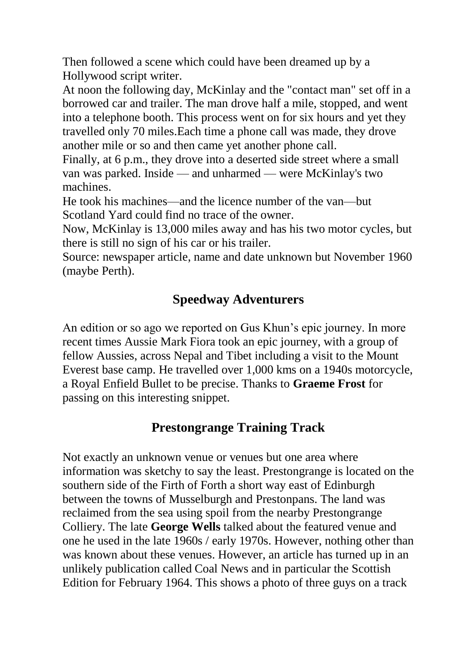Then followed a scene which could have been dreamed up by a Hollywood script writer.

At noon the following day, McKinlay and the "contact man" set off in a borrowed car and trailer. The man drove half a mile, stopped, and went into a telephone booth. This process went on for six hours and yet they travelled only 70 miles.Each time a phone call was made, they drove another mile or so and then came yet another phone call.

Finally, at 6 p.m., they drove into a deserted side street where a small van was parked. Inside — and unharmed — were McKinlay's two machines.

He took his machines—and the licence number of the van—but Scotland Yard could find no trace of the owner.

Now, McKinlay is 13,000 miles away and has his two motor cycles, but there is still no sign of his car or his trailer.

Source: newspaper article, name and date unknown but November 1960 (maybe Perth).

## **Speedway Adventurers**

An edition or so ago we reported on Gus Khun's epic journey. In more recent times Aussie Mark Fiora took an epic journey, with a group of fellow Aussies, across Nepal and Tibet including a visit to the Mount Everest base camp. He travelled over 1,000 kms on a 1940s motorcycle, a Royal Enfield Bullet to be precise. Thanks to **Graeme Frost** for passing on this interesting snippet.

### **Prestongrange Training Track**

Not exactly an unknown venue or venues but one area where information was sketchy to say the least. Prestongrange is located on the southern side of the Firth of Forth a short way east of Edinburgh between the towns of Musselburgh and Prestonpans. The land was reclaimed from the sea using spoil from the nearby Prestongrange Colliery. The late **George Wells** talked about the featured venue and one he used in the late 1960s / early 1970s. However, nothing other than was known about these venues. However, an article has turned up in an unlikely publication called Coal News and in particular the Scottish Edition for February 1964. This shows a photo of three guys on a track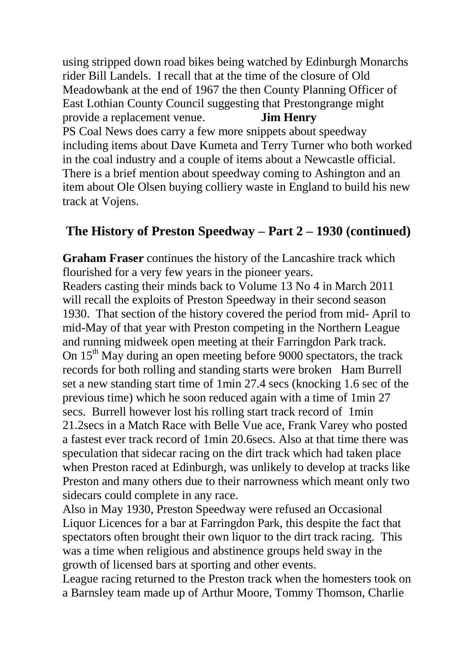using stripped down road bikes being watched by Edinburgh Monarchs rider Bill Landels. I recall that at the time of the closure of Old Meadowbank at the end of 1967 the then County Planning Officer of East Lothian County Council suggesting that Prestongrange might provide a replacement venue. **Jim Henry** PS Coal News does carry a few more snippets about speedway including items about Dave Kumeta and Terry Turner who both worked in the coal industry and a couple of items about a Newcastle official. There is a brief mention about speedway coming to Ashington and an item about Ole Olsen buying colliery waste in England to build his new track at Vojens.

### **The History of Preston Speedway – Part 2 – 1930 (continued)**

**Graham Fraser** continues the history of the Lancashire track which flourished for a very few years in the pioneer years.

Readers casting their minds back to Volume 13 No 4 in March 2011 will recall the exploits of Preston Speedway in their second season 1930. That section of the history covered the period from mid- April to mid-May of that year with Preston competing in the Northern League and running midweek open meeting at their Farringdon Park track. On  $15<sup>th</sup>$  May during an open meeting before 9000 spectators, the track records for both rolling and standing starts were broken Ham Burrell set a new standing start time of 1min 27.4 secs (knocking 1.6 sec of the previous time) which he soon reduced again with a time of 1min 27 secs. Burrell however lost his rolling start track record of 1min 21.2secs in a Match Race with Belle Vue ace, Frank Varey who posted a fastest ever track record of 1min 20.6secs. Also at that time there was speculation that sidecar racing on the dirt track which had taken place when Preston raced at Edinburgh, was unlikely to develop at tracks like Preston and many others due to their narrowness which meant only two sidecars could complete in any race.

Also in May 1930, Preston Speedway were refused an Occasional Liquor Licences for a bar at Farringdon Park, this despite the fact that spectators often brought their own liquor to the dirt track racing. This was a time when religious and abstinence groups held sway in the growth of licensed bars at sporting and other events.

League racing returned to the Preston track when the homesters took on a Barnsley team made up of Arthur Moore, Tommy Thomson, Charlie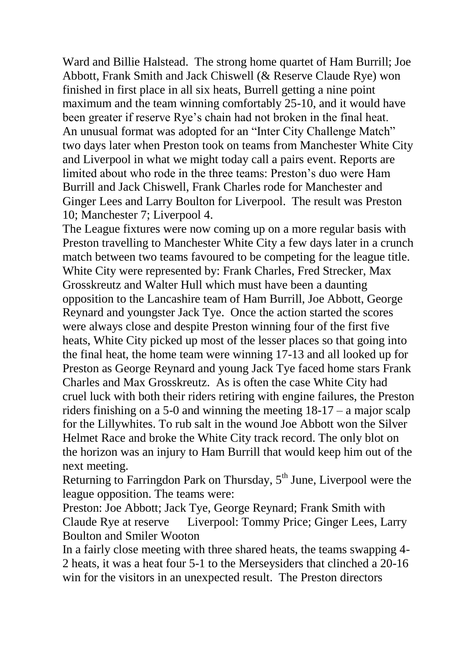Ward and Billie Halstead. The strong home quartet of Ham Burrill; Joe Abbott, Frank Smith and Jack Chiswell (& Reserve Claude Rye) won finished in first place in all six heats, Burrell getting a nine point maximum and the team winning comfortably 25-10, and it would have been greater if reserve Rye's chain had not broken in the final heat. An unusual format was adopted for an "Inter City Challenge Match" two days later when Preston took on teams from Manchester White City and Liverpool in what we might today call a pairs event. Reports are limited about who rode in the three teams: Preston's duo were Ham Burrill and Jack Chiswell, Frank Charles rode for Manchester and Ginger Lees and Larry Boulton for Liverpool. The result was Preston 10; Manchester 7; Liverpool 4.

The League fixtures were now coming up on a more regular basis with Preston travelling to Manchester White City a few days later in a crunch match between two teams favoured to be competing for the league title. White City were represented by: Frank Charles, Fred Strecker, Max Grosskreutz and Walter Hull which must have been a daunting opposition to the Lancashire team of Ham Burrill, Joe Abbott, George Reynard and youngster Jack Tye. Once the action started the scores were always close and despite Preston winning four of the first five heats, White City picked up most of the lesser places so that going into the final heat, the home team were winning 17-13 and all looked up for Preston as George Reynard and young Jack Tye faced home stars Frank Charles and Max Grosskreutz. As is often the case White City had cruel luck with both their riders retiring with engine failures, the Preston riders finishing on a 5-0 and winning the meeting 18-17 – a major scalp for the Lillywhites. To rub salt in the wound Joe Abbott won the Silver Helmet Race and broke the White City track record. The only blot on the horizon was an injury to Ham Burrill that would keep him out of the next meeting.

Returning to Farringdon Park on Thursday,  $5<sup>th</sup>$  June, Liverpool were the league opposition. The teams were:

Preston: Joe Abbott; Jack Tye, George Reynard; Frank Smith with Claude Rye at reserve Liverpool: Tommy Price; Ginger Lees, Larry Boulton and Smiler Wooton

In a fairly close meeting with three shared heats, the teams swapping 4- 2 heats, it was a heat four 5-1 to the Merseysiders that clinched a 20-16 win for the visitors in an unexpected result. The Preston directors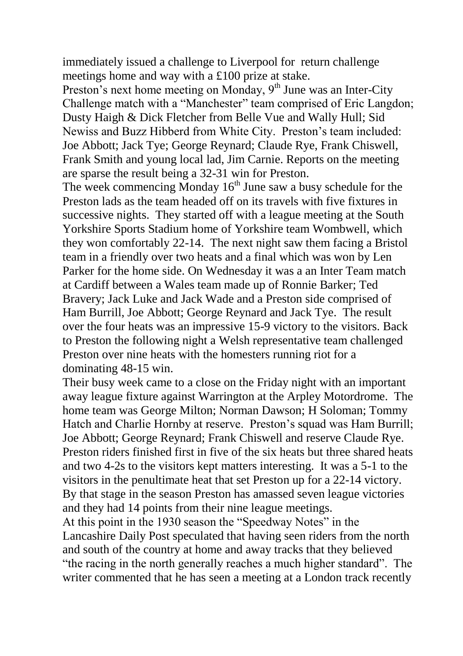immediately issued a challenge to Liverpool for return challenge meetings home and way with a £100 prize at stake.

Preston's next home meeting on Monday,  $9<sup>th</sup>$  June was an Inter-City Challenge match with a "Manchester" team comprised of Eric Langdon; Dusty Haigh & Dick Fletcher from Belle Vue and Wally Hull; Sid Newiss and Buzz Hibberd from White City. Preston's team included: Joe Abbott; Jack Tye; George Reynard; Claude Rye, Frank Chiswell, Frank Smith and young local lad, Jim Carnie. Reports on the meeting are sparse the result being a 32-31 win for Preston.

The week commencing Monday  $16<sup>th</sup>$  June saw a busy schedule for the Preston lads as the team headed off on its travels with five fixtures in successive nights. They started off with a league meeting at the South Yorkshire Sports Stadium home of Yorkshire team Wombwell, which they won comfortably 22-14. The next night saw them facing a Bristol team in a friendly over two heats and a final which was won by Len Parker for the home side. On Wednesday it was a an Inter Team match at Cardiff between a Wales team made up of Ronnie Barker; Ted Bravery; Jack Luke and Jack Wade and a Preston side comprised of Ham Burrill, Joe Abbott; George Reynard and Jack Tye. The result over the four heats was an impressive 15-9 victory to the visitors. Back to Preston the following night a Welsh representative team challenged Preston over nine heats with the homesters running riot for a dominating 48-15 win.

Their busy week came to a close on the Friday night with an important away league fixture against Warrington at the Arpley Motordrome. The home team was George Milton; Norman Dawson; H Soloman; Tommy Hatch and Charlie Hornby at reserve. Preston's squad was Ham Burrill; Joe Abbott; George Reynard; Frank Chiswell and reserve Claude Rye. Preston riders finished first in five of the six heats but three shared heats and two 4-2s to the visitors kept matters interesting. It was a 5-1 to the visitors in the penultimate heat that set Preston up for a 22-14 victory. By that stage in the season Preston has amassed seven league victories and they had 14 points from their nine league meetings.

At this point in the 1930 season the "Speedway Notes" in the Lancashire Daily Post speculated that having seen riders from the north and south of the country at home and away tracks that they believed "the racing in the north generally reaches a much higher standard". The writer commented that he has seen a meeting at a London track recently